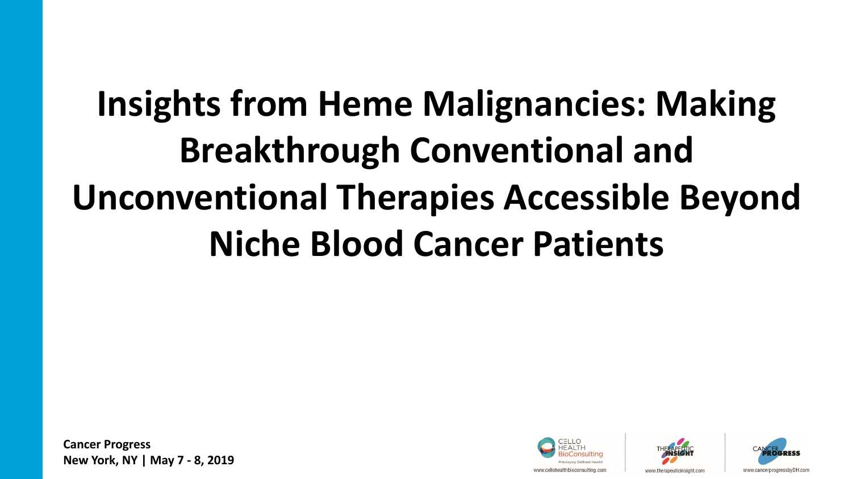# **Insights from Heme Malignancies: Making Breakthrough Conventional and Unconventional Therapies Accessible Beyond Niche Blood Cancer Patients**





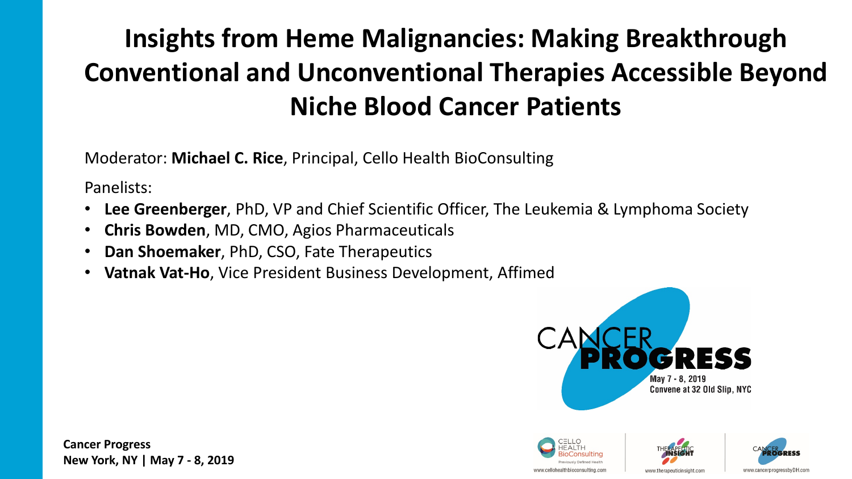## **Insights from Heme Malignancies: Making Breakthrough Conventional and Unconventional Therapies Accessible Beyond Niche Blood Cancer Patients**

Moderator: **Michael C. Rice**, Principal, Cello Health BioConsulting

Panelists:

- **Lee Greenberger**, PhD, VP and Chief Scientific Officer, The Leukemia & Lymphoma Society
- **Chris Bowden**, MD, CMO, Agios Pharmaceuticals
- **Dan Shoemaker**, PhD, CSO, Fate Therapeutics
- **Vatnak Vat-Ho**, Vice President Business Development, Affimed







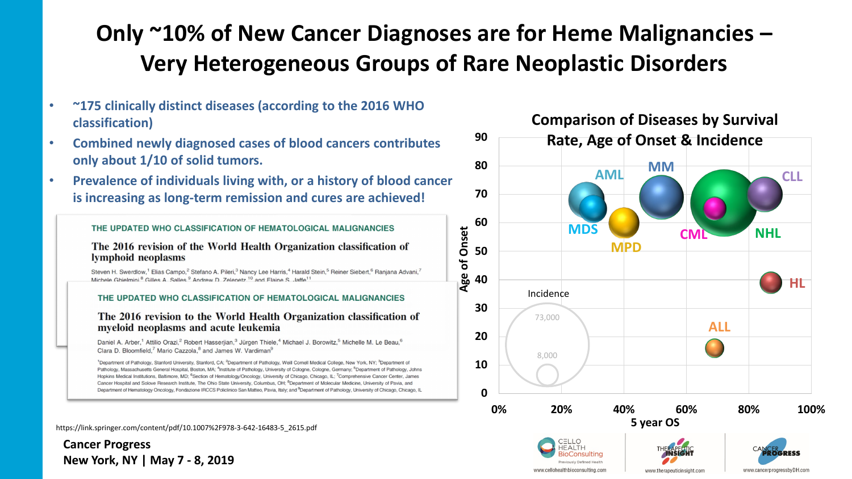### **Only ~10% of New Cancer Diagnoses are for Heme Malignancies – Very Heterogeneous Groups of Rare Neoplastic Disorders**

- **~175 clinically distinct diseases (according to the 2016 WHO classification)**
- **Combined newly diagnosed cases of blood cancers contributes only about 1/10 of solid tumors.**
- **Prevalence of individuals living with, or a history of blood cancer is increasing as long-term remission and cures are achieved!**

#### THE UPDATED WHO CLASSIFICATION OF HEMATOLOGICAL MALIGNANCIES

The 2016 revision of the World Health Organization classification of lymphoid neoplasms

Steven H. Swerdlow,<sup>1</sup> Elias Campo,<sup>2</sup> Stefano A. Pileri,<sup>3</sup> Nancy Lee Harris,<sup>4</sup> Harald Stein,<sup>5</sup> Reiner Siebert,<sup>6</sup> Ranjana Advani,<sup>7</sup> Michele Ghielmini <sup>8</sup> Gilles A. Salles <sup>9</sup> Andrew D. Zelenetz <sup>10</sup> and Flaine S. Jaffe<sup>11</sup>

#### THE UPDATED WHO CLASSIFICATION OF HEMATOLOGICAL MALIGNANCIES

The 2016 revision to the World Health Organization classification of myeloid neoplasms and acute leukemia

Daniel A. Arber,<sup>1</sup> Attilio Orazi,<sup>2</sup> Robert Hasserjian,<sup>3</sup> Jürgen Thiele,<sup>4</sup> Michael J. Borowitz,<sup>5</sup> Michelle M. Le Beau,<sup>6</sup> Clara D. Bloomfield,<sup>7</sup> Mario Cazzola,<sup>8</sup> and James W. Vardiman<sup>9</sup>

<sup>1</sup>Department of Pathology, Stanford University, Stanford, CA; <sup>2</sup>Department of Pathology, Weill Comell Medical College, New York, NY; <sup>3</sup>Department of Pathology, Massachusetts General Hospital, Boston, MA; <sup>4</sup>Institute of Pathology, University of Cologne, Cologne, Germany; <sup>5</sup>Department of Pathology, Johns Hopkins Medical Institutions, Baltimore, MD; <sup>6</sup>Section of Hematology/Oncology, University of Chicago, Chicago, IL; <sup>7</sup>Comprehensive Cancer Center, James Cancer Hospital and Solove Research Institute, The Ohio State University, Columbus, OH; <sup>8</sup>Department of Molecular Medicine, University of Pavia, and Department of Hematology Oncology, Fondazione IRCCS Policlinico San Matteo, Pavia, Italy; and <sup>9</sup>Department of Pathology, University of Chicago, Chicago, IL

https://link.springer.com/content/pdf/10.1007%2F978-3-642-16483-5\_2615.pdf

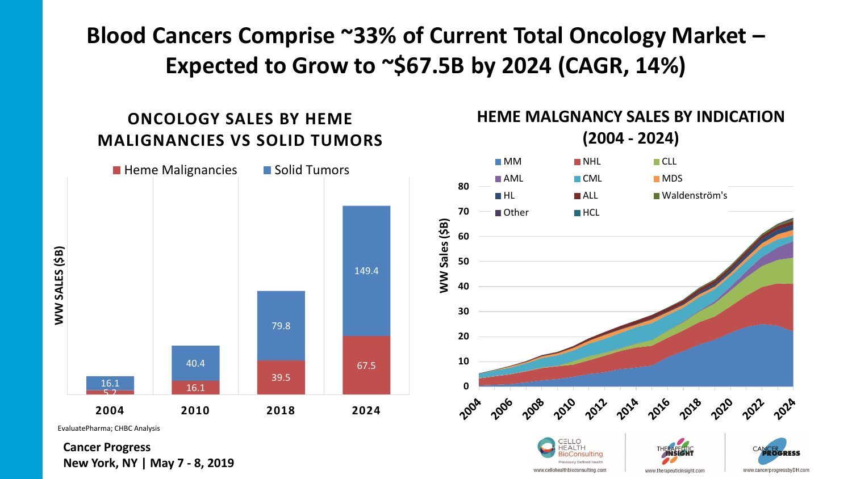**Blood Cancers Comprise ~33% of Current Total Oncology Market – Expected to Grow to ~\$67.5B by 2024 (CAGR, 14%)**

### **ONCOLOGY SALES BY HEME MALIGNANCIES VS SOLID TUMORS**



EvaluatePharma; CHBC Analysis

**Cancer Progress New York, NY | May 7 - 8, 2019**

#### **HEME MALGNANCY SALES BY INDICATION (2004 - 2024)**

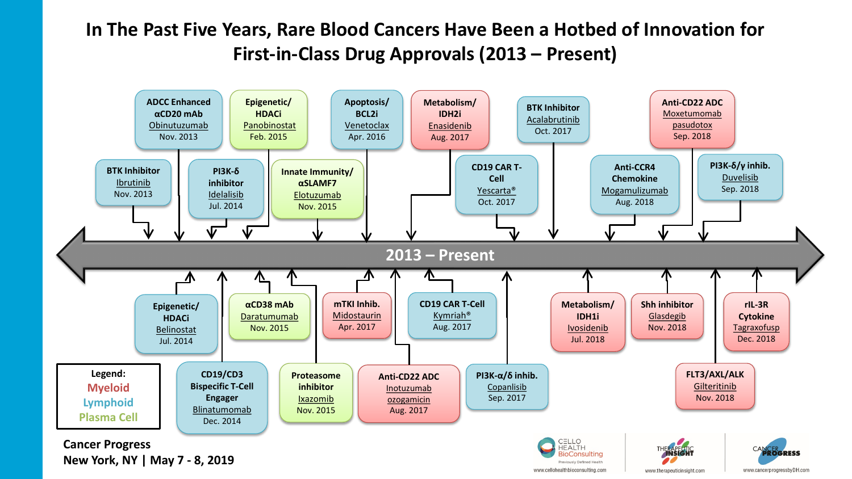### **In The Past Five Years, Rare Blood Cancers Have Been a Hotbed of Innovation for First-in-Class Drug Approvals (2013 – Present)**

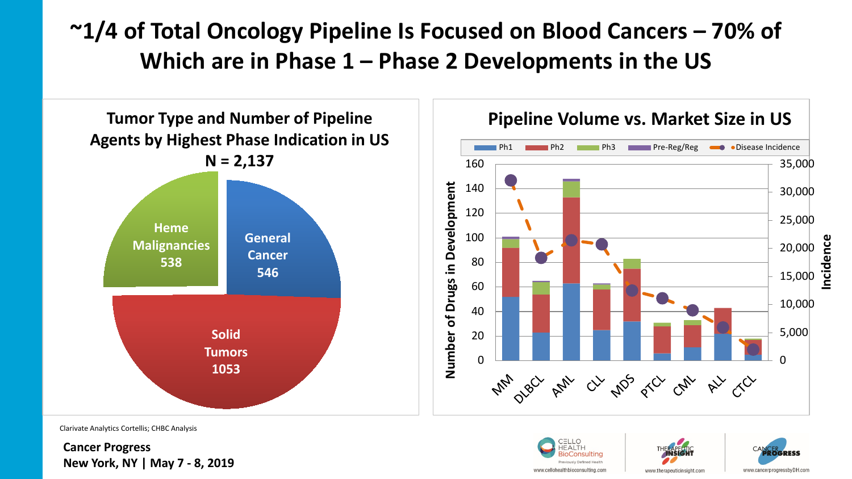### **~1/4 of Total Oncology Pipeline Is Focused on Blood Cancers – 70% of Which are in Phase 1 – Phase 2 Developments in the US**



Clarivate Analytics Cortellis; CHBC Analysis

**Cancer Progress New York, NY | May 7 - 8, 2019**







www.cancerprogressbvDH.cor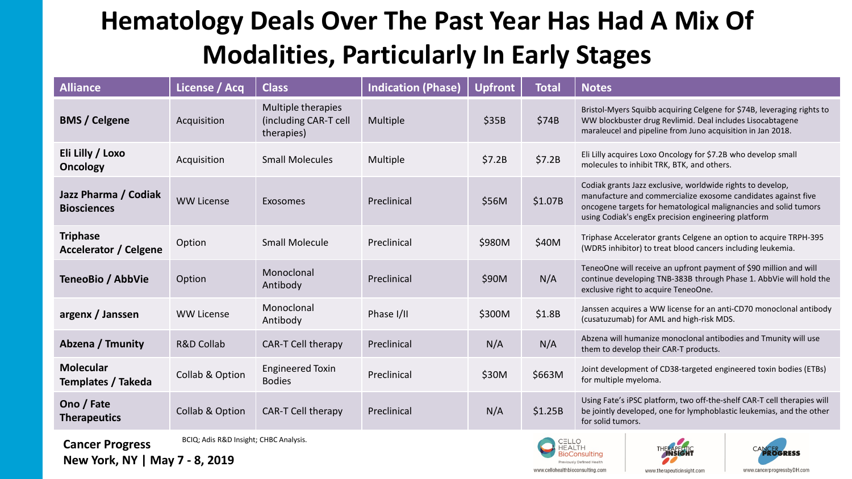### **Hematology Deals Over The Past Year Has Had A Mix Of Modalities, Particularly In Early Stages**

| <b>Alliance</b>                                 | License / Acq         | <b>Class</b>                                              | <b>Indication (Phase)</b> | <b>Upfront</b> | <b>Total</b> | <b>Notes</b>                                                                                                                                                                                                                                           |
|-------------------------------------------------|-----------------------|-----------------------------------------------------------|---------------------------|----------------|--------------|--------------------------------------------------------------------------------------------------------------------------------------------------------------------------------------------------------------------------------------------------------|
| <b>BMS / Celgene</b>                            | Acquisition           | Multiple therapies<br>(including CAR-T cell<br>therapies) | Multiple                  | \$35B          | \$74B        | Bristol-Myers Squibb acquiring Celgene for \$74B, leveraging rights to<br>WW blockbuster drug Revlimid. Deal includes Lisocabtagene<br>maraleucel and pipeline from Juno acquisition in Jan 2018.                                                      |
| Eli Lilly / Loxo<br>Oncology                    | Acquisition           | <b>Small Molecules</b>                                    | Multiple                  | \$7.2B         | \$7.2B       | Eli Lilly acquires Loxo Oncology for \$7.2B who develop small<br>molecules to inhibit TRK, BTK, and others.                                                                                                                                            |
| Jazz Pharma / Codiak<br><b>Biosciences</b>      | <b>WW License</b>     | Exosomes                                                  | Preclinical               | \$56M          | \$1.07B      | Codiak grants Jazz exclusive, worldwide rights to develop,<br>manufacture and commercialize exosome candidates against five<br>oncogene targets for hematological malignancies and solid tumors<br>using Codiak's engEx precision engineering platform |
| <b>Triphase</b><br><b>Accelerator / Celgene</b> | Option                | <b>Small Molecule</b>                                     | Preclinical               | \$980M         | \$40M        | Triphase Accelerator grants Celgene an option to acquire TRPH-395<br>(WDR5 inhibitor) to treat blood cancers including leukemia.                                                                                                                       |
| TeneoBio / AbbVie                               | Option                | Monoclonal<br>Antibody                                    | Preclinical               | \$90M          | N/A          | TeneoOne will receive an upfront payment of \$90 million and will<br>continue developing TNB-383B through Phase 1. AbbVie will hold the<br>exclusive right to acquire TeneoOne.                                                                        |
| argenx / Janssen                                | <b>WW License</b>     | Monoclonal<br>Antibody                                    | Phase I/II                | \$300M         | \$1.8B       | Janssen acquires a WW license for an anti-CD70 monoclonal antibody<br>(cusatuzumab) for AML and high-risk MDS.                                                                                                                                         |
| Abzena / Tmunity                                | <b>R&amp;D Collab</b> | CAR-T Cell therapy                                        | Preclinical               | N/A            | N/A          | Abzena will humanize monoclonal antibodies and Tmunity will use<br>them to develop their CAR-T products.                                                                                                                                               |
| <b>Molecular</b><br><b>Templates / Takeda</b>   | Collab & Option       | <b>Engineered Toxin</b><br><b>Bodies</b>                  | Preclinical               | \$30M          | \$663M       | Joint development of CD38-targeted engineered toxin bodies (ETBs)<br>for multiple myeloma.                                                                                                                                                             |
| Ono / Fate<br><b>Therapeutics</b>               | Collab & Option       | CAR-T Cell therapy                                        | Preclinical               | N/A            | \$1.25B      | Using Fate's iPSC platform, two off-the-shelf CAR-T cell therapies will<br>be jointly developed, one for lymphoblastic leukemias, and the other<br>for solid tumors.                                                                                   |

**Cancer Progress New York, NY | May 7 - 8, 2019**

BCIQ; Adis R&D Insight; CHBC Analysis.







www.cellohealthbioconsulting.cor

www.therapeuticinsight.com

www.cancerprogressbyDH.com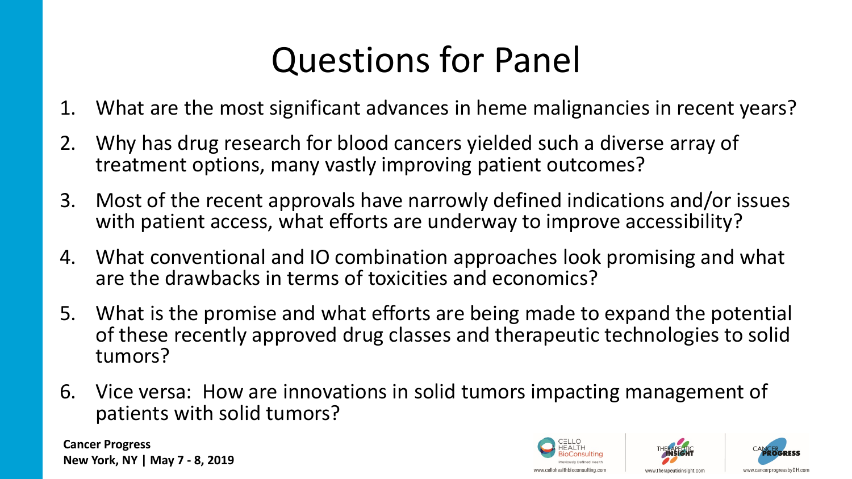# Questions for Panel

- 1. What are the most significant advances in heme malignancies in recent years?
- 2. Why has drug research for blood cancers yielded such a diverse array of treatment options, many vastly improving patient outcomes?
- 3. Most of the recent approvals have narrowly defined indications and/or issues with patient access, what efforts are underway to improve accessibility?
- 4. What conventional and IO combination approaches look promising and what are the drawbacks in terms of toxicities and economics?
- 5. What is the promise and what efforts are being made to expand the potential of these recently approved drug classes and therapeutic technologies to solid tumors?
- 6. Vice versa: How are innovations in solid tumors impacting management of patients with solid tumors?